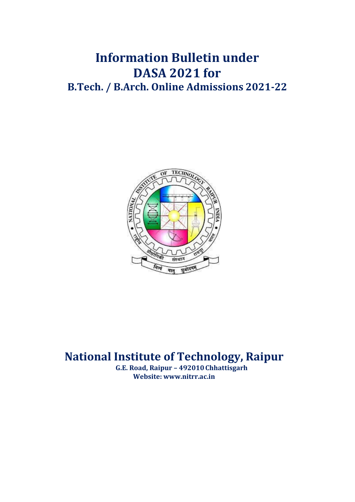# **Information Bulletin under DASA 2021 for B.Tech. / B.Arch. Online Admissions 2021-22**



# **National Institute of Technology, Raipur**

**G.E. Road, Raipur – 492010Chhattisgarh Website: [www.nitrr.ac.in](http://www.nitrr.ac.in/)**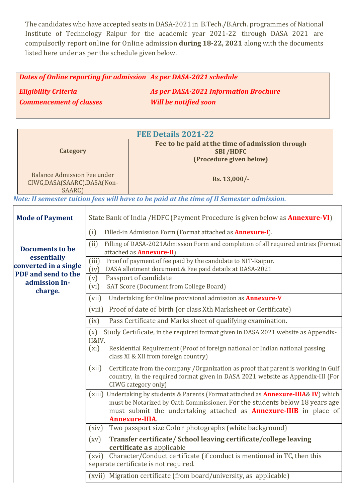The candidates who have accepted seats in DASA-2021 in B.Tech./B.Arch. programmes of National Institute of Technology Raipur for the academic year 2021-22 through DASA 2021 are compulsorily report online for Online admission **during 18-22, 2021** along with the documents listed here under as per the schedule given below.

| <b>Dates of Online reporting for admission As per DASA-2021 schedule</b> |                                       |
|--------------------------------------------------------------------------|---------------------------------------|
| <b>Eligibility Criteria</b>                                              | As per DASA-2021 Information Brochure |
| <b>Commencement of classes</b>                                           | <b>Will be notified soon</b>          |

| FEE Details 2021-22                                                          |                                                                                               |  |  |  |
|------------------------------------------------------------------------------|-----------------------------------------------------------------------------------------------|--|--|--|
| Category                                                                     | Fee to be paid at the time of admission through<br><b>SBI/HDFC</b><br>(Procedure given below) |  |  |  |
| <b>Balance Admission Fee under</b><br>CIWG, DASA(SAARC), DASA(Non-<br>SAARC) | Rs. 13,000/-                                                                                  |  |  |  |

 *Note: II semester tuition fees will have to be paid at the time of II Semester admission.*

| <b>Mode of Payment</b>               | State Bank of India /HDFC (Payment Procedure is given below as <b>Annexure-VI)</b>                                                                                                                                                                                                    |  |  |  |  |
|--------------------------------------|---------------------------------------------------------------------------------------------------------------------------------------------------------------------------------------------------------------------------------------------------------------------------------------|--|--|--|--|
|                                      | Filled-in Admission Form (Format attached as <b>Annexure-I</b> ).<br>(i)                                                                                                                                                                                                              |  |  |  |  |
| <b>Documents to be</b>               | Filling of DASA-2021Admission Form and completion of all required entries (Format<br>(ii)<br>attached as <b>Annexure-II</b> ).                                                                                                                                                        |  |  |  |  |
| essentially<br>converted in a single | (iii)<br>Proof of payment of fee paid by the candidate to NIT-Raipur.                                                                                                                                                                                                                 |  |  |  |  |
| PDF and send to the                  | (iv)<br>DASA allotment document & Fee paid details at DASA-2021                                                                                                                                                                                                                       |  |  |  |  |
| admission In-                        | (v)<br>Passport of candidate                                                                                                                                                                                                                                                          |  |  |  |  |
| charge.                              | SAT Score (Document from College Board)<br>(vi)                                                                                                                                                                                                                                       |  |  |  |  |
|                                      | (vii)<br>Undertaking for Online provisional admission as <b>Annexure-V</b>                                                                                                                                                                                                            |  |  |  |  |
|                                      | Proof of date of birth (or class Xth Marksheet or Certificate)<br>(viii)                                                                                                                                                                                                              |  |  |  |  |
|                                      | Pass Certificate and Marks sheet of qualifying examination.<br>(ix)                                                                                                                                                                                                                   |  |  |  |  |
|                                      | Study Certificate, in the required format given in DASA 2021 website as Appendix-<br>(x)<br>II&IV.                                                                                                                                                                                    |  |  |  |  |
|                                      | Residential Requirement (Proof of foreign national or Indian national passing<br>(xi)<br>class XI & XII from foreign country)                                                                                                                                                         |  |  |  |  |
|                                      | Certificate from the company / Organization as proof that parent is working in Gulf<br>(xii)<br>country, in the required format given in DASA 2021 website as Appendix-III (For<br>CIWG category only)                                                                                |  |  |  |  |
|                                      | (xiii) Undertaking by students & Parents (Format attached as <b>Annexure-IIIA&amp; IV</b> ) which<br>must be Notarized by Oath Commissioner. For the students below 18 years age<br>must submit the undertaking attached as <b>Annexure-IIIB</b> in place of<br><b>Annexure-IIIA.</b> |  |  |  |  |
|                                      | Two passport size Color photographs (white background)<br>(xiv)                                                                                                                                                                                                                       |  |  |  |  |
|                                      | Transfer certificate/ School leaving certificate/college leaving<br>$\left(\text{XV}\right)$<br>certificate a s applicable                                                                                                                                                            |  |  |  |  |
|                                      | Character/Conduct certificate (if conduct is mentioned in TC, then this<br>(xvi)<br>separate certificate is not required.                                                                                                                                                             |  |  |  |  |
|                                      | (xvii) Migration certificate (from board/university, as applicable)                                                                                                                                                                                                                   |  |  |  |  |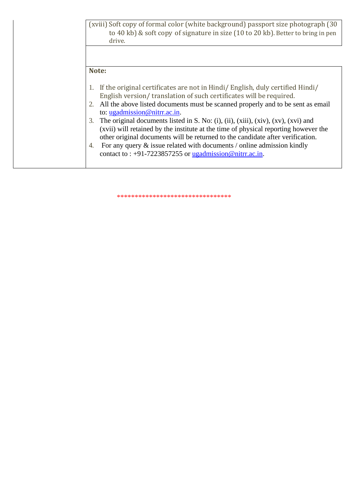|    | (xviii) Soft copy of formal color (white background) passport size photograph (30)<br>to 40 kb) & soft copy of signature in size (10 to 20 kb). Better to bring in pen<br>drive.                                                                                                                                                                                                                                                                                                                                                                                                                                                                                              |
|----|-------------------------------------------------------------------------------------------------------------------------------------------------------------------------------------------------------------------------------------------------------------------------------------------------------------------------------------------------------------------------------------------------------------------------------------------------------------------------------------------------------------------------------------------------------------------------------------------------------------------------------------------------------------------------------|
|    |                                                                                                                                                                                                                                                                                                                                                                                                                                                                                                                                                                                                                                                                               |
|    | Note:                                                                                                                                                                                                                                                                                                                                                                                                                                                                                                                                                                                                                                                                         |
| 3. | If the original certificates are not in Hindi/ English, duly certified Hindi/<br>English version/translation of such certificates will be required.<br>All the above listed documents must be scanned properly and to be sent as email<br>to: $ugadmission@nitr.ac.in.$<br>The original documents listed in S. No: (i), (ii), (xiii), (xiv), (xv), (xvi) and<br>(xvii) will retained by the institute at the time of physical reporting however the<br>other original documents will be returned to the candidate after verification.<br>For any query $\&$ issue related with documents / online admission kindly<br>contact to : +91-7223857255 or ugadmission@nitrr.ac.in. |

\*\*\*\*\*\*\*\*\*\*\*\*\*\*\*\*\*\*\*\*\*\*\*\*\*\*\*\*\*\*\*\*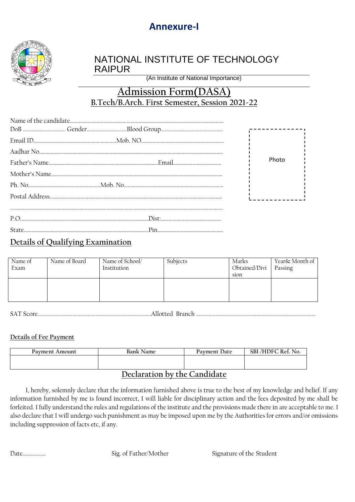## **Annexure-I**



### NATIONAL INSTITUTE OF TECHNOLOGY RAIPUR

(An Institute of National Importance)

## **Admission Form(DASA) B.Tech/B.Arch. First Semester, Session 2021-22**

|  |  | Photo |
|--|--|-------|
|  |  |       |
|  |  |       |
|  |  |       |
|  |  |       |
|  |  |       |
|  |  |       |

### **Details of Qualifying Examination**

| Name of<br>Exam | Name of Board | Name of School/<br>Institution | Subjects | Marks<br>Obtained/Divi<br>sion | Year& Month of<br>Passing |
|-----------------|---------------|--------------------------------|----------|--------------------------------|---------------------------|
|                 |               |                                |          |                                |                           |

SAT Score…………………………………………………………………………….Allotted Branch …………………………………………………………………………………

#### **Details of Fee Payment**

| Payment Amount                                                                                                                                  | Bank Name | Payment Date | SBI/HDFC Ref. No. |  |  |
|-------------------------------------------------------------------------------------------------------------------------------------------------|-----------|--------------|-------------------|--|--|
|                                                                                                                                                 |           |              |                   |  |  |
|                                                                                                                                                 |           |              |                   |  |  |
| $D_{\alpha\alpha}$ $_{\alpha\beta}$ $_{\alpha\gamma}$ $_{\alpha\gamma}$ $_{\alpha\gamma}$ $_{\alpha\gamma}$ $_{\alpha\gamma}$ $_{\alpha\gamma}$ |           |              |                   |  |  |

### **Declaration by the Candidate**

 I, hereby, solemnly declare that the information furnished above is true to the best of my knowledge and belief. If any information furnished by me is found incorrect, I will liable for disciplinary action and the fees deposited by me shall be forfeited. I fully understand the rules and regulations of the institute and the provisions made there in are acceptable to me. I also declare that I will undergo such punishment as may be imposed upon me by the Authorities for errors and/or omissions including suppression of facts etc, if any.

Date……………… Sig. of Father/Mother Signature of the Student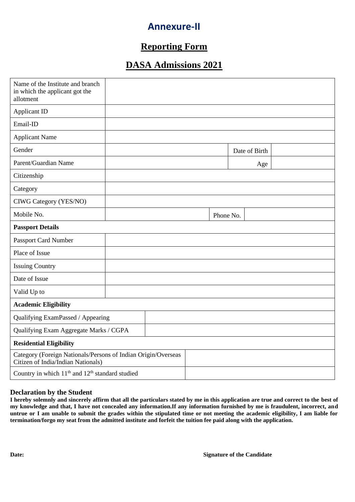## **Annexure-II**

### **Reporting Form**

### **DASA Admissions 2021**

| Name of the Institute and branch<br>in which the applicant got the<br>allotment                     |  |  |  |           |               |  |
|-----------------------------------------------------------------------------------------------------|--|--|--|-----------|---------------|--|
| Applicant ID                                                                                        |  |  |  |           |               |  |
| Email-ID                                                                                            |  |  |  |           |               |  |
| <b>Applicant Name</b>                                                                               |  |  |  |           |               |  |
| Gender                                                                                              |  |  |  |           | Date of Birth |  |
| Parent/Guardian Name                                                                                |  |  |  |           | Age           |  |
| Citizenship                                                                                         |  |  |  |           |               |  |
| Category                                                                                            |  |  |  |           |               |  |
| <b>CIWG Category (YES/NO)</b>                                                                       |  |  |  |           |               |  |
| Mobile No.                                                                                          |  |  |  | Phone No. |               |  |
| <b>Passport Details</b>                                                                             |  |  |  |           |               |  |
| Passport Card Number                                                                                |  |  |  |           |               |  |
| Place of Issue                                                                                      |  |  |  |           |               |  |
| <b>Issuing Country</b>                                                                              |  |  |  |           |               |  |
| Date of Issue                                                                                       |  |  |  |           |               |  |
| Valid Up to                                                                                         |  |  |  |           |               |  |
| <b>Academic Eligibility</b>                                                                         |  |  |  |           |               |  |
| Qualifying ExamPassed / Appearing                                                                   |  |  |  |           |               |  |
| Qualifying Exam Aggregate Marks / CGPA                                                              |  |  |  |           |               |  |
| <b>Residential Eligibility</b>                                                                      |  |  |  |           |               |  |
| Category (Foreign Nationals/Persons of Indian Origin/Overseas<br>Citizen of India/Indian Nationals) |  |  |  |           |               |  |
| Country in which 11 <sup>th</sup> and 12 <sup>th</sup> standard studied                             |  |  |  |           |               |  |

#### **Declaration by the Student**

**I hereby solemnly and sincerely affirm that all the particulars stated by me in this application are true and correct to the best of my knowledge and that, I have not concealed any information.If any information furnished by me is fraudulent, incorrect, and untrue or I am unable to submit the grades within the stipulated time or not meeting the academic eligibility, I am liable for termination/forgo my seat from the admitted institute and forfeit the tuition fee paid along with the application.**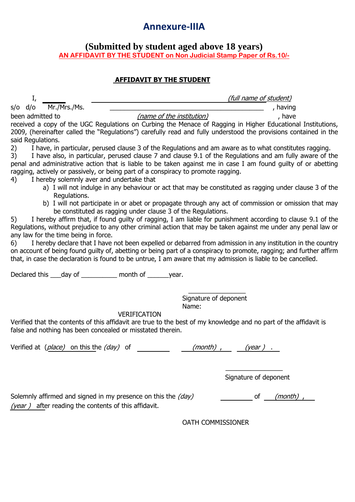## **Annexure-IIIA**

### **(Submitted by student aged above 18 years) AN AFFIDAVIT BY THE STUDENT on Non Judicial Stamp Paper of Rs.10/-**

### **AFFIDAVIT BY THE STUDENT**

| . 22,                                                                                                                                                                                                                                                                                                                                                    |                                                                                                                                                                                                                                                                                                                                                                                                                            |  |  |  |  |  |
|----------------------------------------------------------------------------------------------------------------------------------------------------------------------------------------------------------------------------------------------------------------------------------------------------------------------------------------------------------|----------------------------------------------------------------------------------------------------------------------------------------------------------------------------------------------------------------------------------------------------------------------------------------------------------------------------------------------------------------------------------------------------------------------------|--|--|--|--|--|
| I,                                                                                                                                                                                                                                                                                                                                                       | (full name of student)                                                                                                                                                                                                                                                                                                                                                                                                     |  |  |  |  |  |
| Mr./Mrs./Ms.<br>s/o d/o                                                                                                                                                                                                                                                                                                                                  | , having                                                                                                                                                                                                                                                                                                                                                                                                                   |  |  |  |  |  |
| been admitted to                                                                                                                                                                                                                                                                                                                                         | (name of the institution)<br>, have                                                                                                                                                                                                                                                                                                                                                                                        |  |  |  |  |  |
| said Regulations.                                                                                                                                                                                                                                                                                                                                        | received a copy of the UGC Regulations on Curbing the Menace of Ragging in Higher Educational Institutions,<br>2009, (hereinafter called the "Regulations") carefully read and fully understood the provisions contained in the                                                                                                                                                                                            |  |  |  |  |  |
| 2)<br>3)<br>I hereby solemnly aver and undertake that<br>4)                                                                                                                                                                                                                                                                                              | I have, in particular, perused clause 3 of the Regulations and am aware as to what constitutes ragging.<br>I have also, in particular, perused clause 7 and clause 9.1 of the Regulations and am fully aware of the<br>penal and administrative action that is liable to be taken against me in case I am found guilty of or abetting<br>ragging, actively or passively, or being part of a conspiracy to promote ragging. |  |  |  |  |  |
|                                                                                                                                                                                                                                                                                                                                                          | a) I will not indulge in any behaviour or act that may be constituted as ragging under clause 3 of the                                                                                                                                                                                                                                                                                                                     |  |  |  |  |  |
| Regulations.<br>be constituted as ragging under clause 3 of the Regulations.                                                                                                                                                                                                                                                                             | b) I will not participate in or abet or propagate through any act of commission or omission that may                                                                                                                                                                                                                                                                                                                       |  |  |  |  |  |
| 5)<br>any law for the time being in force.                                                                                                                                                                                                                                                                                                               | I hereby affirm that, if found guilty of ragging, I am liable for punishment according to clause 9.1 of the<br>Regulations, without prejudice to any other criminal action that may be taken against me under any penal law or                                                                                                                                                                                             |  |  |  |  |  |
| I hereby declare that I have not been expelled or debarred from admission in any institution in the country<br>6)<br>on account of being found guilty of, abetting or being part of a conspiracy to promote, ragging; and further affirm<br>that, in case the declaration is found to be untrue, I am aware that my admission is liable to be cancelled. |                                                                                                                                                                                                                                                                                                                                                                                                                            |  |  |  |  |  |
|                                                                                                                                                                                                                                                                                                                                                          | Declared this ___ day of ___________ month of _______ year.                                                                                                                                                                                                                                                                                                                                                                |  |  |  |  |  |
| <b>VERIFICATION</b>                                                                                                                                                                                                                                                                                                                                      | Signature of deponent<br>Name:                                                                                                                                                                                                                                                                                                                                                                                             |  |  |  |  |  |
| Verified that the contents of this affidavit are true to the best of my knowledge and no part of the affidavit is<br>false and nothing has been concealed or misstated therein.                                                                                                                                                                          |                                                                                                                                                                                                                                                                                                                                                                                                                            |  |  |  |  |  |
| Verified at (place) on this the (day) of                                                                                                                                                                                                                                                                                                                 | (month),<br>(year)                                                                                                                                                                                                                                                                                                                                                                                                         |  |  |  |  |  |
|                                                                                                                                                                                                                                                                                                                                                          |                                                                                                                                                                                                                                                                                                                                                                                                                            |  |  |  |  |  |
|                                                                                                                                                                                                                                                                                                                                                          |                                                                                                                                                                                                                                                                                                                                                                                                                            |  |  |  |  |  |

Signature of deponent

Solemnly affirmed and signed in my presence on this the (day) of (month) , (year ) after reading the contents of this affidavit.

OATH COMMISSIONER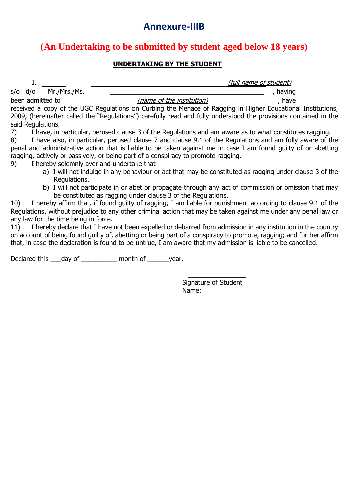## **Annexure-IIIB**

### **(An Undertaking to be submitted by student aged below 18 years)**

### **UNDERTAKING BY THE STUDENT**

 $s$ /o  $d$ /o  $Mr./Mrs./Ms.$ 

I, the contract of student in the contract of student  $(full \ name \ of \ student)$ 

been admitted to  $(name of the institution)$ , have received a copy of the UGC Regulations on Curbing the Menace of Ragging in Higher Educational Institutions, 2009, (hereinafter called the "Regulations") carefully read and fully understood the provisions contained in the said Regulations.

7) I have, in particular, perused clause 3 of the Regulations and am aware as to what constitutes ragging.

8) I have also, in particular, perused clause 7 and clause 9.1 of the Regulations and am fully aware of the penal and administrative action that is liable to be taken against me in case I am found guilty of or abetting ragging, actively or passively, or being part of a conspiracy to promote ragging.

9) I hereby solemnly aver and undertake that

- a) I will not indulge in any behaviour or act that may be constituted as ragging under clause 3 of the Regulations.
- b) I will not participate in or abet or propagate through any act of commission or omission that may be constituted as ragging under clause 3 of the Regulations.

10) I hereby affirm that, if found guilty of ragging, I am liable for punishment according to clause 9.1 of the Regulations, without prejudice to any other criminal action that may be taken against me under any penal law or any law for the time being in force.

11) I hereby declare that I have not been expelled or debarred from admission in any institution in the country on account of being found guilty of, abetting or being part of a conspiracy to promote, ragging; and further affirm that, in case the declaration is found to be untrue, I am aware that my admission is liable to be cancelled.

Declared this day of **Example 2** month of year.

 $\overline{\phantom{a}}$  , which is a set of the set of the set of the set of the set of the set of the set of the set of the set of the set of the set of the set of the set of the set of the set of the set of the set of the set of th Signature of Student Name: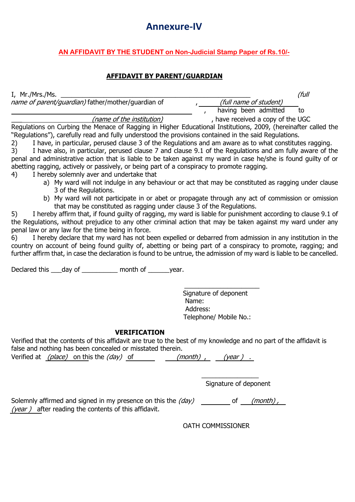## **Annexure-IV**

### **AN AFFIDAVIT BY THE STUDENT on Non-Judicial Stamp Paper of Rs.10/-**

#### **AFFIDAVIT BY PARENT/GUARDIAN**

 $I, Mr./Mrs./Ms.$  (full name of parent/guardian) father/mother/quardian of r (full name of student)<br>
, having been admitted to

(name of the institution) and increase the veceived a copy of the UGC

Regulations on Curbing the Menace of Ragging in Higher Educational Institutions, 2009, (hereinafter called the "Regulations"), carefully read and fully understood the provisions contained in the said Regulations.

2) I have, in particular, perused clause 3 of the Regulations and am aware as to what constitutes ragging.

3) I have also, in particular, perused clause 7 and clause 9.1 of the Regulations and am fully aware of the penal and administrative action that is liable to be taken against my ward in case he/she is found guilty of or abetting ragging, actively or passively, or being part of a conspiracy to promote ragging.

- 4) I hereby solemnly aver and undertake that
	- a) My ward will not indulge in any behaviour or act that may be constituted as ragging under clause 3 of the Regulations.
	- b) My ward will not participate in or abet or propagate through any act of commission or omission that may be constituted as ragging under clause 3 of the Regulations.

5) I hereby affirm that, if found guilty of ragging, my ward is liable for punishment according to clause 9.1 of the Regulations, without prejudice to any other criminal action that may be taken against my ward under any penal law or any law for the time being in force.

6) I hereby declare that my ward has not been expelled or debarred from admission in any institution in the country on account of being found guilty of, abetting or being part of a conspiracy to promote, ragging; and further affirm that, in case the declaration is found to be untrue, the admission of my ward is liable to be cancelled.

Declared this \_\_\_day of \_\_\_\_\_\_\_\_\_\_ month of \_\_\_\_\_\_year.

 $\overline{\phantom{a}}$  ,  $\overline{\phantom{a}}$  ,  $\overline{\phantom{a}}$  ,  $\overline{\phantom{a}}$  ,  $\overline{\phantom{a}}$  ,  $\overline{\phantom{a}}$  ,  $\overline{\phantom{a}}$  ,  $\overline{\phantom{a}}$  ,  $\overline{\phantom{a}}$  ,  $\overline{\phantom{a}}$  ,  $\overline{\phantom{a}}$  ,  $\overline{\phantom{a}}$  ,  $\overline{\phantom{a}}$  ,  $\overline{\phantom{a}}$  ,  $\overline{\phantom{a}}$  ,  $\overline{\phantom{a}}$ Signature of deponent Name: Address: Telephone/ Mobile No.:

#### **VERIFICATION**

Verified that the contents of this affidavit are true to the best of my knowledge and no part of the affidavit is false and nothing has been concealed or misstated therein.

Verified at  $(place)$  on this the  $(day)$  of  $(month)$ ,  $(year)$ .

Signature of deponent

 $\overline{\phantom{a}}$  , where  $\overline{\phantom{a}}$ 

Solemnly affirmed and signed in my presence on this the  $\langle day \rangle$  \_\_\_\_\_\_\_\_\_\_ of \_\_\_\_(month), (year) after reading the contents of this affidavit.

OATH COMMISSIONER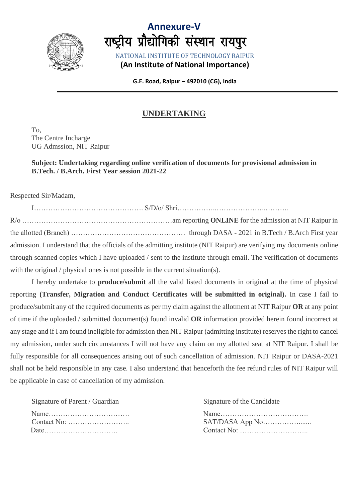



**G.E. Road, Raipur – 492010 (CG), India**

### **UNDERTAKING**

To, The Centre Incharge UG Admssion, NIT Raipur

#### **Subject: Undertaking regarding online verification of documents for provisional admission in B.Tech. / B.Arch. First Year session 2021-22**

Respected Sir/Madam,

I………………………………………. S/D/o/ Shri……………..………………..……….. R/o ………………………………………………………am reporting **ONLINE** for the admission at NIT Raipur in the allotted (Branch) ………………………………………… through DASA - 2021 in B.Tech / B.Arch First year admission. I understand that the officials of the admitting institute (NIT Raipur) are verifying my documents online through scanned copies which I have uploaded / sent to the institute through email. The verification of documents with the original / physical ones is not possible in the current situation(s).

I hereby undertake to **produce/submit** all the valid listed documents in original at the time of physical reporting **(Transfer, Migration and Conduct Certificates will be submitted in original).** In case I fail to produce/submit any of the required documents as per my claim against the allotment at NIT Raipur **OR** at any point of time if the uploaded / submitted document(s) found invalid **OR** information provided herein found incorrect at any stage and if I am found ineligible for admission then NIT Raipur (admitting institute) reserves the right to cancel my admission, under such circumstances I will not have any claim on my allotted seat at NIT Raipur. I shall be fully responsible for all consequences arising out of such cancellation of admission. NIT Raipur or DASA-2021 shall not be held responsible in any case. I also understand that henceforth the fee refund rules of NIT Raipur will be applicable in case of cancellation of my admission.

| Signature of Parent / Guardian | Signature of the Candidate                                    |
|--------------------------------|---------------------------------------------------------------|
|                                |                                                               |
|                                | Contact No: $\dots \dots \dots \dots \dots \dots \dots \dots$ |